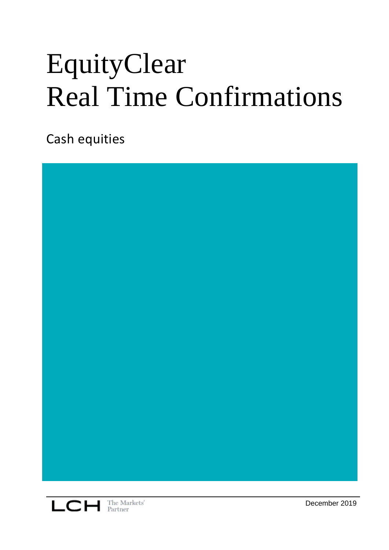# EquityClear Real Time Confirmations

Cash equities





December 2019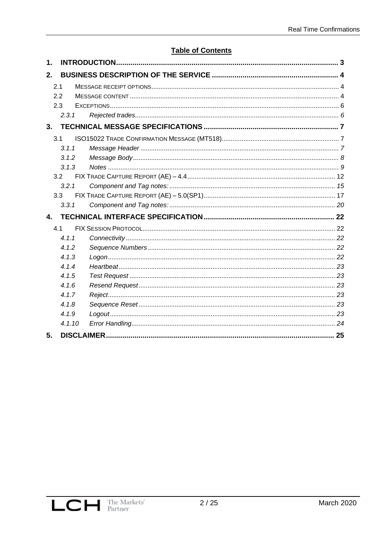### **Table of Contents**

| 1.               |        |  |  |  |  |  |  |
|------------------|--------|--|--|--|--|--|--|
| 2.               |        |  |  |  |  |  |  |
| 2.1              |        |  |  |  |  |  |  |
| 2.2              |        |  |  |  |  |  |  |
| 2.3              |        |  |  |  |  |  |  |
| 2.3.1            |        |  |  |  |  |  |  |
| 3.               |        |  |  |  |  |  |  |
| 3.1              |        |  |  |  |  |  |  |
| 3.1.1            |        |  |  |  |  |  |  |
| 3.1.2            |        |  |  |  |  |  |  |
| 3.1.3            |        |  |  |  |  |  |  |
| 3.2              |        |  |  |  |  |  |  |
| 3.2.1            |        |  |  |  |  |  |  |
| 3.3              |        |  |  |  |  |  |  |
| 3.3.1            |        |  |  |  |  |  |  |
| $\blacktriangle$ |        |  |  |  |  |  |  |
| 4.1              |        |  |  |  |  |  |  |
| 4.1.1            |        |  |  |  |  |  |  |
| 4.1.2            |        |  |  |  |  |  |  |
| 4.1.3            |        |  |  |  |  |  |  |
| 4.1.4            |        |  |  |  |  |  |  |
| 4.1.5            |        |  |  |  |  |  |  |
| 4.1.6            |        |  |  |  |  |  |  |
| 4.1.7            |        |  |  |  |  |  |  |
| 4.1.8            |        |  |  |  |  |  |  |
| 4.1.9            |        |  |  |  |  |  |  |
|                  | 4.1.10 |  |  |  |  |  |  |
| 5.               |        |  |  |  |  |  |  |

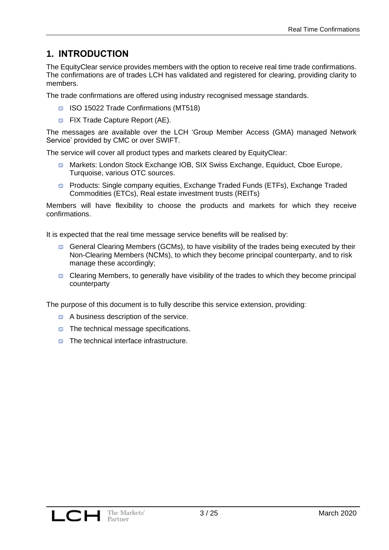# **1. INTRODUCTION**

The EquityClear service provides members with the option to receive real time trade confirmations. The confirmations are of trades LCH has validated and registered for clearing, providing clarity to members.

The trade confirmations are offered using industry recognised message standards.

- **ISO 15022 Trade Confirmations (MT518)**
- **S** FIX Trade Capture Report (AE).

The messages are available over the LCH 'Group Member Access (GMA) managed Network Service' provided by CMC or over SWIFT.

The service will cover all product types and markets cleared by EquityClear:

- Markets: London Stock Exchange IOB, SIX Swiss Exchange, Equiduct, Cboe Europe, Turquoise, various OTC sources.
- Products: Single company equities, Exchange Traded Funds (ETFs), Exchange Traded Commodities (ETCs), Real estate investment trusts (REITs)

Members will have flexibility to choose the products and markets for which they receive confirmations.

It is expected that the real time message service benefits will be realised by:

- General Clearing Members (GCMs), to have visibility of the trades being executed by their Non-Clearing Members (NCMs), to which they become principal counterparty, and to risk manage these accordingly;
- $\circ$  Clearing Members, to generally have visibility of the trades to which they become principal counterparty

The purpose of this document is to fully describe this service extension, providing:

- A business description of the service.
- $\circ$  The technical message specifications.
- o The technical interface infrastructure.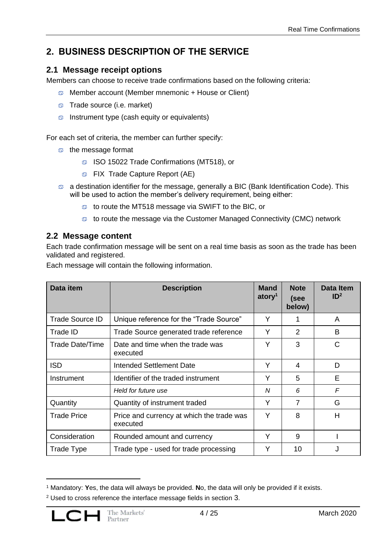# **2. BUSINESS DESCRIPTION OF THE SERVICE**

## **2.1 Message receipt options**

Members can choose to receive trade confirmations based on the following criteria:

- Member account (Member mnemonic + House or Client)
- $\circ$  Trade source (i.e. market)
- $\circ$  Instrument type (cash equity or equivalents)

For each set of criteria, the member can further specify:

- o the message format
	- ISO 15022 Trade Confirmations (MT518), or
	- **S** FIX Trade Capture Report (AE)
- a destination identifier for the message, generally a BIC (Bank Identification Code). This will be used to action the member's delivery requirement, being either:
	- to route the MT518 message via SWIFT to the BIC, or
	- to route the message via the Customer Managed Connectivity (CMC) network

## **2.2 Message content**

Each trade confirmation message will be sent on a real time basis as soon as the trade has been validated and registered.

Each message will contain the following information.

| Data item              | <b>Description</b>                                    | <b>Mand</b><br>atory <sup>1</sup> | <b>Note</b><br>(see<br>below) | <b>Data Item</b><br>ID <sup>2</sup> |
|------------------------|-------------------------------------------------------|-----------------------------------|-------------------------------|-------------------------------------|
| <b>Trade Source ID</b> | Unique reference for the "Trade Source"               | Y                                 |                               | A                                   |
| Trade ID               | Trade Source generated trade reference                | Y                                 | $\overline{2}$                | B                                   |
| <b>Trade Date/Time</b> | Date and time when the trade was<br>executed          | Υ                                 | 3                             | C                                   |
| <b>ISD</b>             | Intended Settlement Date                              | Y                                 | 4                             | D                                   |
| Instrument             | Identifier of the traded instrument                   | Υ                                 | 5                             | Е                                   |
|                        | Held for future use                                   | N                                 | 6                             | F                                   |
| Quantity               | Quantity of instrument traded                         | Y                                 | $\overline{7}$                | G                                   |
| <b>Trade Price</b>     | Price and currency at which the trade was<br>executed | Y                                 | 8                             | Н                                   |
| Consideration          | Rounded amount and currency                           | Υ                                 | 9                             |                                     |
| Trade Type             | Trade type - used for trade processing                | Υ                                 | 10                            |                                     |

<sup>1</sup> Mandatory: **Y**es, the data will always be provided. **N**o, the data will only be provided if it exists.

<sup>2</sup> Used to cross reference the interface message fields in section [3](#page-6-0).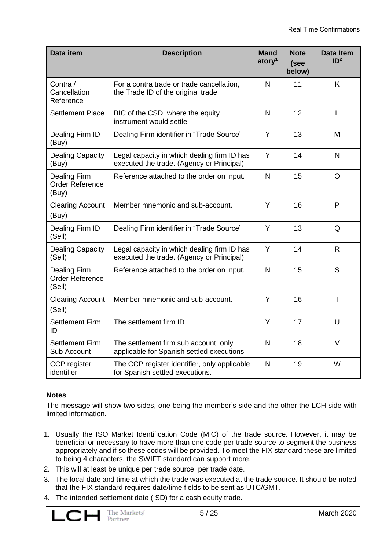| Data item                                               | <b>Description</b>                                                                       | <b>Mand</b><br>atory <sup>1</sup> | <b>Note</b><br>(see<br>below) | <b>Data Item</b><br>ID <sup>2</sup> |
|---------------------------------------------------------|------------------------------------------------------------------------------------------|-----------------------------------|-------------------------------|-------------------------------------|
| Contra /<br>Cancellation<br>Reference                   | For a contra trade or trade cancellation,<br>the Trade ID of the original trade          | $\mathsf{N}$                      | 11                            | K                                   |
| <b>Settlement Place</b>                                 | BIC of the CSD where the equity<br>instrument would settle                               | $\mathsf{N}$                      | 12                            | L                                   |
| Dealing Firm ID<br>(Buy)                                | Dealing Firm identifier in "Trade Source"                                                | Y                                 | 13                            | M                                   |
| <b>Dealing Capacity</b><br>(Buy)                        | Legal capacity in which dealing firm ID has<br>executed the trade. (Agency or Principal) | Y                                 | 14                            | $\mathsf{N}$                        |
| <b>Dealing Firm</b><br><b>Order Reference</b><br>(Buy)  | Reference attached to the order on input.                                                | $\mathsf{N}$                      | 15                            | $\circ$                             |
| <b>Clearing Account</b><br>(Buy)                        | Member mnemonic and sub-account.                                                         | Y                                 | 16                            | P                                   |
| Dealing Firm ID<br>(Sell)                               | Dealing Firm identifier in "Trade Source"                                                | Y                                 | 13                            | Q                                   |
| <b>Dealing Capacity</b><br>(Sell)                       | Legal capacity in which dealing firm ID has<br>executed the trade. (Agency or Principal) | Y                                 | 14                            | $\mathsf{R}$                        |
| <b>Dealing Firm</b><br><b>Order Reference</b><br>(Sell) | Reference attached to the order on input.                                                | $\mathsf{N}$                      | 15                            | $\mathsf{S}$                        |
| <b>Clearing Account</b><br>(Sell)                       | Member mnemonic and sub-account.                                                         | Y                                 | 16                            | T                                   |
| <b>Settlement Firm</b><br>ID                            | The settlement firm ID                                                                   | Y                                 | 17                            | U                                   |
| <b>Settlement Firm</b><br>Sub Account                   | The settlement firm sub account, only<br>applicable for Spanish settled executions.      | $\mathsf{N}$                      | 18                            | $\vee$                              |
| CCP register<br>identifier                              | The CCP register identifier, only applicable<br>for Spanish settled executions.          | $\mathsf{N}$                      | 19                            | W                                   |

#### **Notes**

The message will show two sides, one being the member's side and the other the LCH side with limited information.

- 1. Usually the ISO Market Identification Code (MIC) of the trade source. However, it may be beneficial or necessary to have more than one code per trade source to segment the business appropriately and if so these codes will be provided. To meet the FIX standard these are limited to being 4 characters, the SWIFT standard can support more.
- 2. This will at least be unique per trade source, per trade date.
- 3. The local date and time at which the trade was executed at the trade source. It should be noted that the FIX standard requires date/time fields to be sent as UTC/GMT.
- 4. The intended settlement date (ISD) for a cash equity trade.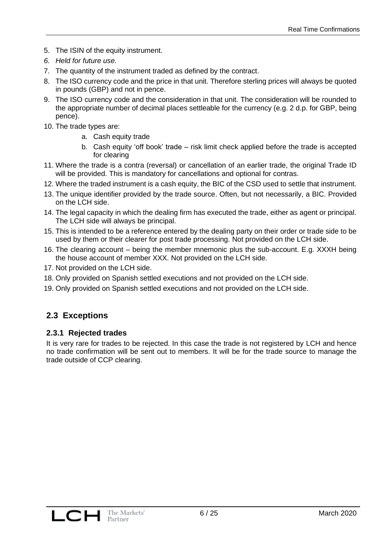- 5. The ISIN of the equity instrument.
- *6. Held for future use.*
- 7. The quantity of the instrument traded as defined by the contract.
- 8. The ISO currency code and the price in that unit. Therefore sterling prices will always be quoted in pounds (GBP) and not in pence.
- 9. The ISO currency code and the consideration in that unit. The consideration will be rounded to the appropriate number of decimal places settleable for the currency (e.g. 2 d.p. for GBP, being pence).
- 10. The trade types are:
	- a. Cash equity trade
	- b. Cash equity 'off book' trade risk limit check applied before the trade is accepted for clearing
- 11. Where the trade is a contra (reversal) or cancellation of an earlier trade, the original Trade ID will be provided. This is mandatory for cancellations and optional for contras.
- 12. Where the traded instrument is a cash equity, the BIC of the CSD used to settle that instrument.
- 13. The unique identifier provided by the trade source. Often, but not necessarily, a BIC. Provided on the LCH side.
- 14. The legal capacity in which the dealing firm has executed the trade, either as agent or principal. The LCH side will always be principal.
- 15. This is intended to be a reference entered by the dealing party on their order or trade side to be used by them or their clearer for post trade processing. Not provided on the LCH side.
- 16. The clearing account being the member mnemonic plus the sub-account. E.g. XXXH being the house account of member XXX. Not provided on the LCH side.
- 17. Not provided on the LCH side.
- 18. Only provided on Spanish settled executions and not provided on the LCH side.
- 19. Only provided on Spanish settled executions and not provided on the LCH side.

## **2.3 Exceptions**

#### **2.3.1 Rejected trades**

It is very rare for trades to be rejected. In this case the trade is not registered by LCH and hence no trade confirmation will be sent out to members. It will be for the trade source to manage the trade outside of CCP clearing.

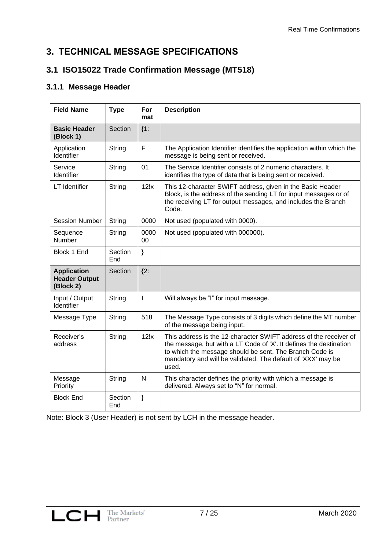# <span id="page-6-0"></span>**3. TECHNICAL MESSAGE SPECIFICATIONS**

# **3.1 ISO15022 Trade Confirmation Message (MT518)**

## **3.1.1 Message Header**

| <b>Field Name</b>                                       | <b>Type</b>    | For<br>mat     | <b>Description</b>                                                                                                                                                                                                                                                          |
|---------------------------------------------------------|----------------|----------------|-----------------------------------------------------------------------------------------------------------------------------------------------------------------------------------------------------------------------------------------------------------------------------|
| <b>Basic Header</b><br>(Block 1)                        | Section        | ${1:}$         |                                                                                                                                                                                                                                                                             |
| Application<br>Identifier                               | String         | F              | The Application Identifier identifies the application within which the<br>message is being sent or received.                                                                                                                                                                |
| Service<br>Identifier                                   | String         | 01             | The Service Identifier consists of 2 numeric characters. It<br>identifies the type of data that is being sent or received.                                                                                                                                                  |
| <b>LT</b> Identifier                                    | String         | 12!x           | This 12-character SWIFT address, given in the Basic Header<br>Block, is the address of the sending LT for input messages or of<br>the receiving LT for output messages, and includes the Branch<br>Code.                                                                    |
| <b>Session Number</b>                                   | String         | 0000           | Not used (populated with 0000).                                                                                                                                                                                                                                             |
| Sequence<br>Number                                      | String         | 0000<br>00     | Not used (populated with 000000).                                                                                                                                                                                                                                           |
| Block 1 End                                             | Section<br>End | $\}$           |                                                                                                                                                                                                                                                                             |
| <b>Application</b><br><b>Header Output</b><br>(Block 2) | Section        | ${2:}$         |                                                                                                                                                                                                                                                                             |
| Input / Output<br>Identifier                            | String         | $\overline{1}$ | Will always be "I" for input message.                                                                                                                                                                                                                                       |
| Message Type                                            | String         | 518            | The Message Type consists of 3 digits which define the MT number<br>of the message being input.                                                                                                                                                                             |
| Receiver's<br>address                                   | String         | 12!x           | This address is the 12-character SWIFT address of the receiver of<br>the message, but with a LT Code of 'X'. It defines the destination<br>to which the message should be sent. The Branch Code is<br>mandatory and will be validated. The default of 'XXX' may be<br>used. |
| Message<br>Priority                                     | String         | $\mathsf{N}$   | This character defines the priority with which a message is<br>delivered. Always set to "N" for normal.                                                                                                                                                                     |
| <b>Block End</b>                                        | Section<br>End | ł              |                                                                                                                                                                                                                                                                             |

Note: Block 3 (User Header) is not sent by LCH in the message header.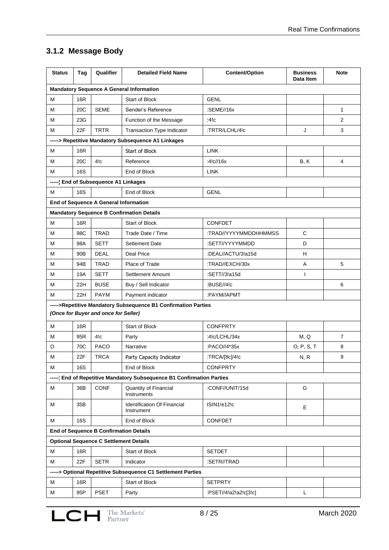# **3.1.2 Message Body**

| <b>Status</b> | Tag                                  | Qualifier                                         | <b>Detailed Field Name</b>                                            | <b>Content/Option</b> | <b>Business</b><br>Data Item | <b>Note</b>    |
|---------------|--------------------------------------|---------------------------------------------------|-----------------------------------------------------------------------|-----------------------|------------------------------|----------------|
|               |                                      |                                                   | <b>Mandatory Sequence A General Information</b>                       |                       |                              |                |
| М             | 16R                                  |                                                   | <b>Start of Block</b>                                                 | <b>GENL</b>           |                              |                |
| M             | 20C                                  | <b>SEME</b>                                       | Sender's Reference                                                    | :SEME//16x            |                              | 1              |
| М             | 23G                                  |                                                   | Function of the Message                                               | :4!c                  |                              | 2              |
| М             | 22F                                  | <b>TRTR</b>                                       | Transaction Type Indicator                                            | :TRTR/LCHL/4!c        | J                            | 3              |
|               |                                      |                                                   | -----> Repetitive Mandatory Subsequence A1 Linkages                   |                       |                              |                |
| М             | <b>16R</b>                           |                                                   | Start of Block                                                        | <b>LINK</b>           |                              |                |
| М             | 20C                                  | 4!c                                               | Reference                                                             | :4 $C$ //16x          | B, K                         | 4              |
| М             | 16S                                  |                                                   | End of Block                                                          | <b>LINK</b>           |                              |                |
|               | ----- End of Subsequence A1 Linkages |                                                   |                                                                       |                       |                              |                |
| м             | 16S                                  |                                                   | End of Block                                                          | <b>GENL</b>           |                              |                |
|               |                                      | End of Sequence A General Information             |                                                                       |                       |                              |                |
|               |                                      |                                                   | <b>Mandatory Sequence B Confirmation Details</b>                      |                       |                              |                |
| м             | 16R                                  |                                                   | Start of Block                                                        | <b>CONFDET</b>        |                              |                |
| М             | 98C                                  | <b>TRAD</b>                                       | Trade Date / Time                                                     | :TRAD//YYYYMMDDHHMMSS | C                            |                |
| м             | 98A                                  | <b>SETT</b>                                       | Setlement Date                                                        | :SETT//YYYYMMDD       | D                            |                |
| М             | 90B                                  | <b>DEAL</b>                                       | Deal Price                                                            | :DEAL//ACTU/3!a15d    | H                            |                |
| м             | 94B                                  | <b>TRAD</b>                                       | Place of Trade                                                        | :TRAD//EXCH/30x       | Α                            | 5              |
| М             | 19A                                  | <b>SETT</b><br>:SETT//3!a15d<br>Settlement Amount |                                                                       | T                     |                              |                |
| м             | 22H                                  | <b>BUSE</b>                                       | Buy / Sell Indicator                                                  | :BUSE//4!c            |                              | 6              |
| м             | 22H                                  | <b>PAYM</b>                                       | Payment indicator                                                     | :PAYM//APMT           |                              |                |
|               |                                      | (Once for Buyer and once for Seller)              | ----->Repetitive Mandatory Subsequence B1 Confirmation Parties        |                       |                              |                |
| м             | 16R                                  |                                                   | Start of Block                                                        | <b>CONFPRTY</b>       |                              |                |
| М             | 95R                                  | 4!c                                               | Party                                                                 | :4! $c$ /LCHL/34x     | M, Q                         | $\overline{7}$ |
| O             | 70C                                  | <b>PACO</b>                                       | Narrative                                                             | :PACO//4*35x          | O, P, S, T                   | 8              |
| M             | 22F                                  | <b>TRCA</b>                                       | Party Capacity Indicator                                              | :TRCA/[8c]/4!c        | N, R                         | 9              |
| м             | 16S                                  |                                                   | End of Block                                                          | <b>CONFPRTY</b>       |                              |                |
|               |                                      |                                                   | ----- End of Repetitive Mandatory Subsequence B1 Confirmation Parties |                       |                              |                |
| м             | 36B                                  | <b>CONF</b>                                       | Quantity of Financial<br>Instruments                                  | :CONF//UNIT/15d       | G                            |                |
| м             | 35B                                  |                                                   | Identification Of Financial<br>Instrument                             | ISIN1!e12!c           | Е                            |                |
| м             | 16S                                  |                                                   | End of Block                                                          | <b>CONFDET</b>        |                              |                |
|               |                                      | <b>End of Sequence B Confirmation Details</b>     |                                                                       |                       |                              |                |
|               |                                      | <b>Optional Sequence C Settlement Details</b>     |                                                                       |                       |                              |                |
| м             | 16R                                  |                                                   | Start of Block                                                        | <b>SETDET</b>         |                              |                |
| М             | 22F                                  | <b>SETR</b>                                       | Indicator                                                             | :SETR//TRAD           |                              |                |
|               |                                      |                                                   | ----- > Optional Repetitive Subsequence C1 Settlement Parties         |                       |                              |                |
| м             | 16R                                  |                                                   | Start of Block                                                        | <b>SETPRTY</b>        |                              |                |
| М             | 95P                                  | <b>PSET</b>                                       | Party                                                                 | :PSET//4!a2!a2!c[3!c] | L                            |                |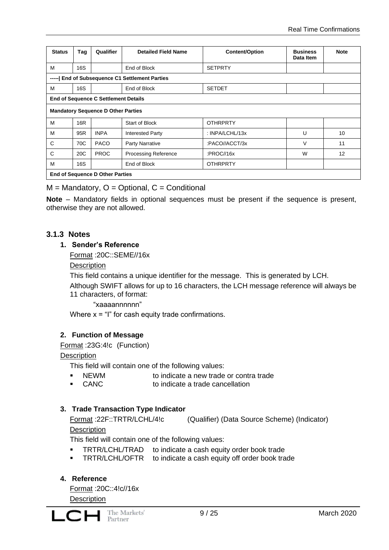| <b>Status</b>                                  | Tag                                         | Qualifier                              | <b>Detailed Field Name</b>  | <b>Content/Option</b> | <b>Business</b><br>Data Item | <b>Note</b> |  |
|------------------------------------------------|---------------------------------------------|----------------------------------------|-----------------------------|-----------------------|------------------------------|-------------|--|
| M                                              | 16S                                         |                                        | End of Block                | <b>SETPRTY</b>        |                              |             |  |
| ----- End of Subsequence C1 Settlement Parties |                                             |                                        |                             |                       |                              |             |  |
| M                                              | 16S                                         |                                        | End of Block                | <b>SETDET</b>         |                              |             |  |
|                                                | <b>End of Sequence C Settlement Details</b> |                                        |                             |                       |                              |             |  |
|                                                | <b>Mandatory Sequence D Other Parties</b>   |                                        |                             |                       |                              |             |  |
| M                                              | 16R                                         |                                        | <b>Start of Block</b>       | <b>OTHRPRTY</b>       |                              |             |  |
| M                                              | 95R                                         | <b>INPA</b>                            | <b>Interested Party</b>     | : INPA/LCHL/13x       | U                            | 10          |  |
| C                                              | 70C                                         | <b>PACO</b>                            | Party Narrative             | :PACO//ACCT/3x        | $\vee$                       | 11          |  |
| C                                              | 20 <sub>C</sub>                             | <b>PROC</b>                            | <b>Processing Reference</b> | :PROC//16 $x$         | W                            | 12          |  |
| M                                              | 16S                                         |                                        | End of Block                | <b>OTHRPRTY</b>       |                              |             |  |
|                                                |                                             | <b>End of Sequence D Other Parties</b> |                             |                       |                              |             |  |

 $M =$  Mandatory,  $O =$  Optional,  $C =$  Conditional

**Note** – Mandatory fields in optional sequences must be present if the sequence is present, otherwise they are not allowed.

#### **3.1.3 Notes**

#### **1. Sender's Reference**

Format :20C::SEME//16x

**Description** 

This field contains a unique identifier for the message. This is generated by LCH.

Although SWIFT allows for up to 16 characters, the LCH message reference will always be 11 characters, of format:

#### "xaaaannnnnn"

Where  $x = 1$ " for cash equity trade confirmations.

#### **2. Function of Message**

Format :23G:4!c (Function)

**Description** 

This field will contain one of the following values:

- NEWM to indicate a new trade or contra trade
- CANC to indicate a trade cancellation

#### **3. Trade Transaction Type Indicator**

Format :22F::TRTR/LCHL/4!c (Qualifier) (Data Source Scheme) (Indicator) **Description** 

This field will contain one of the following values:

- **TRTR/LCHL/TRAD** to indicate a cash equity order book trade
- **TRTR/LCHL/OFTR** to indicate a cash equity off order book trade

#### **4. Reference**

Format :20C::4!c//16x **Description**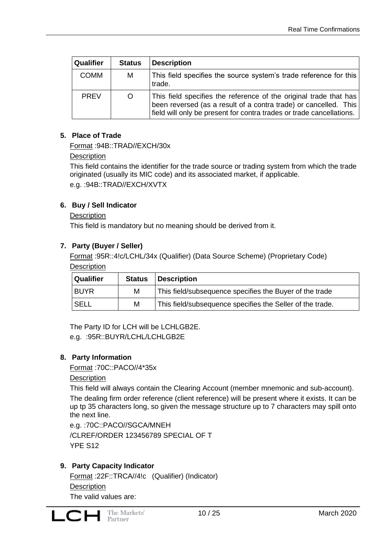| <b>Qualifier</b> | <b>Status</b> | <b>Description</b>                                                                                                                                                                                            |
|------------------|---------------|---------------------------------------------------------------------------------------------------------------------------------------------------------------------------------------------------------------|
| <b>COMM</b>      | M             | This field specifies the source system's trade reference for this<br>trade.                                                                                                                                   |
| <b>PRFV</b>      | O             | This field specifies the reference of the original trade that has<br>been reversed (as a result of a contra trade) or cancelled. This<br>field will only be present for contra trades or trade cancellations. |

#### **5. Place of Trade**

Format :94B::TRAD//EXCH/30x

#### **Description**

This field contains the identifier for the trade source or trading system from which the trade originated (usually its MIC code) and its associated market, if applicable. e.g. :94B::TRAD//EXCH/XVTX

#### **6. Buy / Sell Indicator**

#### **Description**

This field is mandatory but no meaning should be derived from it.

#### **7. Party (Buyer / Seller)**

Format :95R::4!c/LCHL/34x (Qualifier) (Data Source Scheme) (Proprietary Code) **Description** 

| <b>Qualifier</b> | <b>Status</b> | <b>Description</b>                                        |
|------------------|---------------|-----------------------------------------------------------|
| <b>BUYR</b>      | м             | This field/subsequence specifies the Buyer of the trade   |
| SELL             | м             | This field/subsequence specifies the Seller of the trade. |

The Party ID for LCH will be LCHLGB2E. e.g. :95R::BUYR/LCHL/LCHLGB2E

#### **8. Party Information**

Format :70C::PACO//4\*35x

#### **Description**

This field will always contain the Clearing Account (member mnemonic and sub-account).

The dealing firm order reference (client reference) will be present where it exists. It can be up tp 35 characters long, so given the message structure up to 7 characters may spill onto the next line.

e.g. :70C::PACO//SGCA/MNEH /CLREF/ORDER 123456789 SPECIAL OF T YPE S12

#### **9. Party Capacity Indicator**

Format :22F::TRCA//4!c (Qualifier) (Indicator) **Description** The valid values are: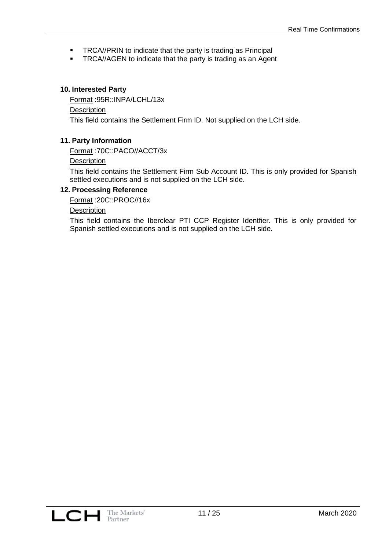- **TRCA//PRIN to indicate that the party is trading as Principal**
- **TRCA//AGEN to indicate that the party is trading as an Agent**

#### **10. Interested Party**

Format :95R::INPA/LCHL/13x **Description** This field contains the Settlement Firm ID. Not supplied on the LCH side.

#### **11. Party Information**

Format :70C::PACO//ACCT/3x

#### **Description**

This field contains the Settlement Firm Sub Account ID. This is only provided for Spanish settled executions and is not supplied on the LCH side.

#### **12. Processing Reference**

Format :20C::PROC//16x

#### **Description**

This field contains the Iberclear PTI CCP Register Identfier. This is only provided for Spanish settled executions and is not supplied on the LCH side.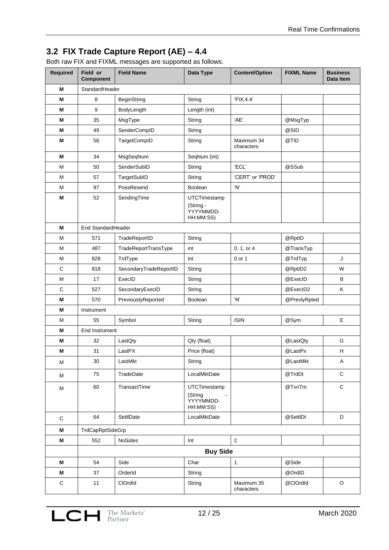# **3.2 FIX Trade Capture Report (AE) – 4.4**

Both raw FIX and FIXML messages are supported as follows.

| Required    | Field or<br><b>Component</b> | <b>Field Name</b>      | Data Type                                           | <b>Content/Option</b>    | <b>FIXML Name</b> | <b>Business</b><br>Data Item |
|-------------|------------------------------|------------------------|-----------------------------------------------------|--------------------------|-------------------|------------------------------|
| М           | StandardHeader               |                        |                                                     |                          |                   |                              |
| М           | 8                            | <b>BeginString</b>     | String                                              | 'FIX.4.4'                |                   |                              |
| М           | 9                            | BodyLength             | Length (int)                                        |                          |                   |                              |
| М           | 35                           | MsgType                | String                                              | 'AE'                     | @MsgTyp           |                              |
| M           | 49                           | SenderCompID           | String                                              |                          | @SID              |                              |
| M           | 56                           | <b>TargetCompID</b>    | String                                              | Maximum 34<br>characters | @TID              |                              |
| M           | 34                           | MsgSeqNum              | SeqNum (int)                                        |                          |                   |                              |
| M           | 50                           | SenderSubID            | String                                              | 'ECL'                    | @SSub             |                              |
| M           | 57                           | TargetSubID            | String                                              | 'CERT' or 'PROD'         |                   |                              |
| M           | 97                           | PossResend             | Boolean                                             | 'N'                      |                   |                              |
| М           | 52                           | SendingTime            | UTCTimestamp<br>(String -<br>YYYYMMDD-<br>HH:MM:SS) |                          |                   |                              |
| М           | End StandardHeader           |                        |                                                     |                          |                   |                              |
| M           | 571                          | TradeReportID          | String                                              |                          | @RptID            |                              |
| M           | 487                          | TradeReportTransType   | int                                                 | 0, 1, or 4               | @TransTyp         |                              |
| М           | 828                          | TrdType                | int                                                 | 0 or 1                   | @TrdTyp           | J                            |
| $\mathbf C$ | 818                          | SecondaryTradeReportID | String                                              |                          | @RptID2           | W                            |
| M           | 17                           | ExecID                 | String                                              |                          | @ExecID           | В                            |
| $\mathbf C$ | 527                          | SecondaryExecID        | String                                              |                          | @ExecID2          | Κ                            |
| M           | 570                          | PreviouslyReported     | Boolean                                             | 'N'                      | @PrevlyRpted      |                              |
| Μ           | Instrument                   |                        |                                                     |                          |                   |                              |
| M           | 55                           | Symbol                 | String                                              | <b>ISIN</b>              | @Sym              | E                            |
| М           | <b>End Instrument</b>        |                        |                                                     |                          |                   |                              |
| M           | 32                           | LastQty                | Qty (float)                                         |                          | @LastQty          | G                            |
| м           | 31                           | LastPX                 | Price (float)                                       |                          | @LastPx           | H                            |
| M           | 30                           | LastMkt                | String                                              |                          | @LastMkt          | Α                            |
| M           | 75                           | TradeDate              | LocalMktDate                                        |                          | @TrdDt            | $\mathbf C$                  |
| M           | 60                           | TransactTime           | UTCTimestamp<br>(String<br>YYYYMMDD-<br>HH:MM:SS)   |                          | @TxnTm            | $\mathbf C$                  |
| $\mathbf C$ | 64                           | SettlDate              | LocalMktDate                                        |                          | @SettlDt          | D                            |
| M           | TrdCapRptSideGrp             |                        |                                                     |                          |                   |                              |
| M           | 552                          | NoSides                | Int                                                 | $\overline{2}$           |                   |                              |
|             |                              |                        | <b>Buy Side</b>                                     |                          |                   |                              |
| M           | 54                           | Side                   | Char                                                | $\mathbf{1}$             | @Side             |                              |
| M           | 37                           | OrderId                | String                                              |                          | @OrdID            |                              |
| $\mathsf C$ | 11                           | ClOrdId                | String                                              | Maximum 35               | @ClOrdId          | O                            |
|             |                              |                        |                                                     | characters               |                   |                              |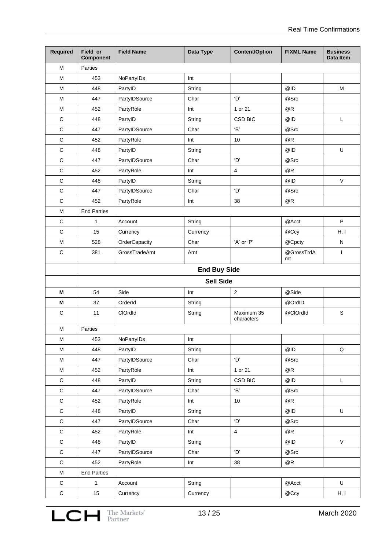| Required     | Field or<br><b>Component</b> | <b>Field Name</b> | Data Type           | <b>Content/Option</b>    | <b>FIXML Name</b> | <b>Business</b><br>Data Item |
|--------------|------------------------------|-------------------|---------------------|--------------------------|-------------------|------------------------------|
| м            | Parties                      |                   |                     |                          |                   |                              |
| M            | 453                          | NoPartyIDs        | Int                 |                          |                   |                              |
| M            | 448                          | PartyID           | String              |                          | @ID               | M                            |
| M            | 447                          | PartyIDSource     | Char                | 'D'                      | @Src              |                              |
| M            | 452                          | PartyRole         | Int                 | 1 or 21                  | @R                |                              |
| $\mathsf C$  | 448                          | PartyID           | String              | <b>CSD BIC</b>           | @ID               | L                            |
| $\mathsf C$  | 447                          | PartyIDSource     | Char                | 'B'                      | @Src              |                              |
| $\mathsf C$  | 452                          | PartyRole         | Int                 | 10                       | @R                |                              |
| $\mathsf C$  | 448                          | PartyID           | String              |                          | @ID               | U                            |
| $\mathsf C$  | 447                          | PartyIDSource     | Char                | 'D'                      | @Src              |                              |
| $\mathsf C$  | 452                          | PartyRole         | Int                 | $\overline{\mathbf{4}}$  | @R                |                              |
| $\mathsf C$  | 448                          | PartyID           | String              |                          | @ID               | $\mathsf V$                  |
| $\mathsf C$  | 447                          | PartyIDSource     | Char                | 'D'                      | @Src              |                              |
| $\mathsf C$  | 452                          | PartyRole         | Int                 | 38                       | @R                |                              |
| M            | <b>End Parties</b>           |                   |                     |                          |                   |                              |
| $\mathsf C$  | 1                            | Account           | String              |                          | @Acct             | $\sf P$                      |
| $\mathsf C$  | 15                           | Currency          | Currency            |                          | @Ccy              | H, I                         |
| M            | 528                          | OrderCapacity     | Char                | 'A' or 'P'               | @Cpcty            | N                            |
| $\mathsf C$  | 381                          | GrossTradeAmt     | Amt                 |                          | @GrossTrdA<br>mt  | $\mathbf{I}$                 |
|              |                              |                   | <b>End Buy Side</b> |                          |                   |                              |
|              |                              |                   | <b>Sell Side</b>    |                          |                   |                              |
| M            | 54                           | Side              | Int                 | $\mathbf 2$              | @Side             |                              |
| М            | 37                           | OrderId           | String              |                          | @OrdID            |                              |
| C            | 11                           | ClOrdId           | String              | Maximum 35<br>characters | @ClOrdId          | $\mathsf S$                  |
| M            | Parties                      |                   |                     |                          |                   |                              |
| M            | 453                          | NoPartyIDs        | Int                 |                          |                   |                              |
| M            | 448                          | PartyID           | String              |                          | @ID               | Q                            |
| M            | 447                          | PartyIDSource     | Char                | 'D'                      | @Src              |                              |
| M            | 452                          | PartyRole         | Int                 | 1 or 21                  | @R                |                              |
| $\mathbf C$  | 448                          | PartyID           | String              | CSD BIC                  | @ID               | L                            |
| $\mathbf C$  | 447                          | PartyIDSource     | Char                | 'B'                      | @Src              |                              |
| $\mathtt{C}$ | 452                          | PartyRole         | Int                 | $10\,$                   | @R                |                              |
| $\mathtt{C}$ | 448                          | PartyID           | String              |                          | @ID               | $\mathsf U$                  |
| $\mathtt{C}$ | 447                          | PartyIDSource     | Char                | 'D'                      | @Src              |                              |
| $\mathtt{C}$ | 452                          | PartyRole         | Int                 | $\overline{4}$           | @R                |                              |
| $\mathsf C$  | 448                          | PartyID           | String              |                          | @ID               | V                            |
| $\mathsf C$  | 447                          | PartyIDSource     | Char                | 'D'                      | @Src              |                              |
| $\mathbf C$  | 452                          | PartyRole         | Int                 | 38                       | @R                |                              |
| M            | <b>End Parties</b>           |                   |                     |                          |                   |                              |
| $\mathsf C$  | $\mathbf{1}$                 | Account           | String              |                          | @Acct             | U                            |
| $\mathtt{C}$ | 15                           | Currency          | Currency            |                          | @Ccy              | H, I                         |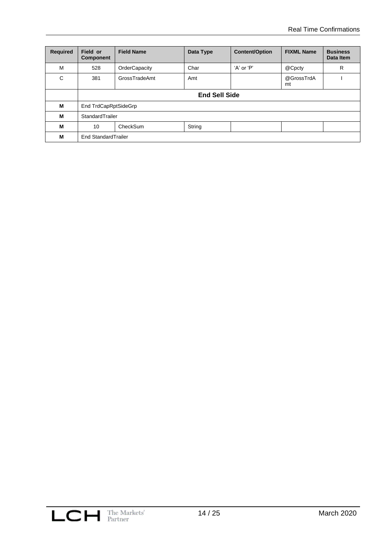| <b>Required</b> | Field or<br>Component | <b>Field Name</b>    | Data Type | <b>Content/Option</b> | <b>FIXML Name</b> | <b>Business</b><br>Data Item |
|-----------------|-----------------------|----------------------|-----------|-----------------------|-------------------|------------------------------|
| м               | 528                   | OrderCapacity        | Char      | 'A' or 'P'            | @Cpcty            | R                            |
| C               | 381                   | GrossTradeAmt        | Amt       |                       | @GrossTrdA<br>mt  |                              |
|                 | <b>End Sell Side</b>  |                      |           |                       |                   |                              |
| м               |                       | End TrdCapRptSideGrp |           |                       |                   |                              |
| м               |                       | StandardTrailer      |           |                       |                   |                              |
| М               | 10                    | CheckSum<br>String   |           |                       |                   |                              |
| M               | End StandardTrailer   |                      |           |                       |                   |                              |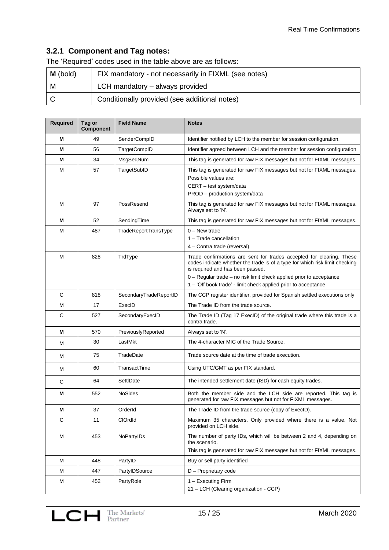## **3.2.1 Component and Tag notes:**

The 'Required' codes used in the table above are as follows:

| $M$ (bold) | FIX mandatory - not necessarily in FIXML (see notes) |
|------------|------------------------------------------------------|
| M          | LCH mandatory – always provided                      |
|            | Conditionally provided (see additional notes)        |

| Required | Tag or<br><b>Component</b> | <b>Field Name</b>      | <b>Notes</b>                                                                                                                                                                                                                                                                                                                     |  |
|----------|----------------------------|------------------------|----------------------------------------------------------------------------------------------------------------------------------------------------------------------------------------------------------------------------------------------------------------------------------------------------------------------------------|--|
| м        | 49                         | SenderCompID           | Identifier notified by LCH to the member for session configuration.                                                                                                                                                                                                                                                              |  |
| м        | 56                         | <b>TargetCompID</b>    | Identifier agreed between LCH and the member for session configuration                                                                                                                                                                                                                                                           |  |
| М        | 34                         | MsgSeqNum              | This tag is generated for raw FIX messages but not for FIXML messages.                                                                                                                                                                                                                                                           |  |
| М        | 57                         | TargetSubID            | This tag is generated for raw FIX messages but not for FIXML messages.<br>Possible values are:<br>CERT - test system/data<br>PROD - production system/data                                                                                                                                                                       |  |
| M        | 97                         | PossResend             | This tag is generated for raw FIX messages but not for FIXML messages.<br>Always set to 'N'.                                                                                                                                                                                                                                     |  |
| м        | 52                         | SendingTime            | This tag is generated for raw FIX messages but not for FIXML messages.                                                                                                                                                                                                                                                           |  |
| м        | 487                        | TradeReportTransType   | $0 - New trade$<br>1 - Trade cancellation<br>4 – Contra trade (reversal)                                                                                                                                                                                                                                                         |  |
| м        | 828                        | TrdType                | Trade confirmations are sent for trades accepted for clearing. These<br>codes indicate whether the trade is of a type for which risk limit checking<br>is required and has been passed.<br>0 - Regular trade - no risk limit check applied prior to acceptance<br>1 - 'Off book trade' - limit check applied prior to acceptance |  |
| C        | 818                        | SecondaryTradeReportID | The CCP register identifier, provided for Spanish settled executions only                                                                                                                                                                                                                                                        |  |
| M        | 17                         | ExecID                 | The Trade ID from the trade source.                                                                                                                                                                                                                                                                                              |  |
| C        | 527                        | SecondaryExecID        | The Trade ID (Tag 17 ExecID) of the original trade where this trade is a<br>contra trade.                                                                                                                                                                                                                                        |  |
| М        | 570                        | PreviouslyReported     | Always set to 'N'.                                                                                                                                                                                                                                                                                                               |  |
| м        | 30                         | LastMkt                | The 4-character MIC of the Trade Source.                                                                                                                                                                                                                                                                                         |  |
| м        | 75                         | TradeDate              | Trade source date at the time of trade execution.                                                                                                                                                                                                                                                                                |  |
| м        | 60                         | TransactTime           | Using UTC/GMT as per FIX standard.                                                                                                                                                                                                                                                                                               |  |
| С        | 64                         | SettlDate              | The intended settlement date (ISD) for cash equity trades.                                                                                                                                                                                                                                                                       |  |
| М        | 552                        | <b>NoSides</b>         | Both the member side and the LCH side are reported. This tag is<br>generated for raw FIX messages but not for FIXML messages.                                                                                                                                                                                                    |  |
| M        | 37                         | OrderId                | The Trade ID from the trade source (copy of ExecID).                                                                                                                                                                                                                                                                             |  |
| С        | 11                         | ClOrdId                | Maximum 35 characters. Only provided where there is a value. Not<br>provided on LCH side.                                                                                                                                                                                                                                        |  |
| М        | 453                        | NoPartyIDs             | The number of party IDs, which will be between 2 and 4, depending on<br>the scenario.<br>This tag is generated for raw FIX messages but not for FIXML messages.                                                                                                                                                                  |  |
| М        | 448                        | PartyID                | Buy or sell party identified                                                                                                                                                                                                                                                                                                     |  |
| м        | 447                        | PartyIDSource          | D - Proprietary code                                                                                                                                                                                                                                                                                                             |  |
| М        | 452                        | PartyRole              | 1 - Executing Firm<br>21 - LCH (Clearing organization - CCP)                                                                                                                                                                                                                                                                     |  |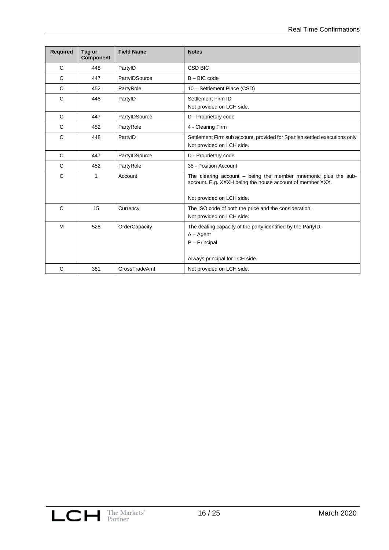| <b>Required</b> | Tag or<br><b>Component</b> | <b>Field Name</b> | <b>Notes</b>                                                                                                                                               |  |
|-----------------|----------------------------|-------------------|------------------------------------------------------------------------------------------------------------------------------------------------------------|--|
| C               | 448                        | PartyID           | <b>CSD BIC</b>                                                                                                                                             |  |
| C               | 447                        | PartyIDSource     | $B - BIC$ code                                                                                                                                             |  |
| $\mathbf C$     | 452                        | PartyRole         | 10 - Settlement Place (CSD)                                                                                                                                |  |
| $\mathsf{C}$    | 448                        | PartyID           | Settlement Firm ID<br>Not provided on LCH side.                                                                                                            |  |
| C               | 447                        | PartylDSource     | D - Proprietary code                                                                                                                                       |  |
| C               | 452                        | PartyRole         | 4 - Clearing Firm                                                                                                                                          |  |
| C               | 448                        | PartyID           | Settlement Firm sub account, provided for Spanish settled executions only<br>Not provided on LCH side.                                                     |  |
| C               | 447                        | PartyIDSource     | D - Proprietary code                                                                                                                                       |  |
| $\mathbf C$     | 452                        | PartyRole         | 38 - Position Account                                                                                                                                      |  |
| $\mathsf{C}$    | 1                          | Account           | The clearing account $-$ being the member mnemonic plus the sub-<br>account. E.g. XXXH being the house account of member XXX.<br>Not provided on LCH side. |  |
| C               | 15                         | Currency          | The ISO code of both the price and the consideration.<br>Not provided on LCH side.                                                                         |  |
| M               | 528                        | OrderCapacity     | The dealing capacity of the party identified by the PartyID.<br>$A - Agent$<br>$P - Pricipal$<br>Always principal for LCH side.                            |  |
| $\mathsf{C}$    | 381                        | GrossTradeAmt     | Not provided on LCH side.                                                                                                                                  |  |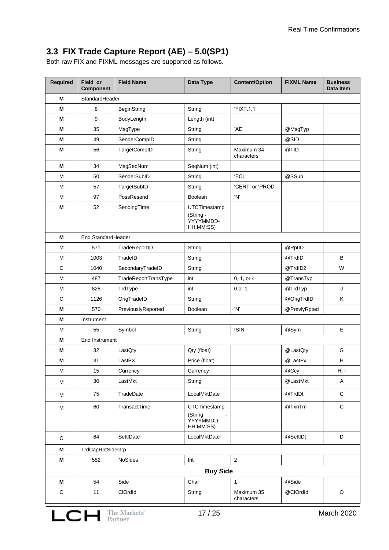# **3.3 FIX Trade Capture Report (AE) – 5.0(SP1)**

Both raw FIX and FIXML messages are supported as follows.

| Required    | Field or<br><b>Field Name</b><br>Data Type<br><b>Content/Option</b><br><b>FIXML Name</b><br><b>Component</b> |                            |                                                     | <b>Business</b><br>Data Item |              |             |  |
|-------------|--------------------------------------------------------------------------------------------------------------|----------------------------|-----------------------------------------------------|------------------------------|--------------|-------------|--|
| M           | StandardHeader                                                                                               |                            |                                                     |                              |              |             |  |
| M           | 8                                                                                                            | <b>BeginString</b>         | String                                              | 'FIXT.1.1'                   |              |             |  |
| М           | 9                                                                                                            | Length (int)<br>BodyLength |                                                     |                              |              |             |  |
| M           | 35                                                                                                           | MsgType                    | String                                              | 'AE'                         | @MsgTyp      |             |  |
| M           | 49                                                                                                           | SenderCompID               | String                                              |                              | @SID         |             |  |
| м           | 56                                                                                                           | <b>TargetCompID</b>        | String                                              | Maximum 34<br>characters     | @TID         |             |  |
| м           | 34                                                                                                           | MsgSeqNum                  | SeqNum (int)                                        |                              |              |             |  |
| м           | 50                                                                                                           | SenderSubID                | String                                              | 'ECL'                        | @SSub        |             |  |
| M           | 57                                                                                                           | TargetSubID                | String                                              | 'CERT' or 'PROD'             |              |             |  |
| M           | 97                                                                                                           | PossResend                 | Boolean                                             | 'N'                          |              |             |  |
| М           | 52<br>SendingTime                                                                                            |                            | UTCTimestamp<br>(String -<br>YYYYMMDD-<br>HH:MM:SS) |                              |              |             |  |
| М           | End StandardHeader                                                                                           |                            |                                                     |                              |              |             |  |
| M           | 571                                                                                                          | TradeReportID              | String                                              |                              | @RptID       |             |  |
| M           | 1003                                                                                                         | TradeID                    | String                                              |                              | @TrdID       | B           |  |
| $\mathsf C$ | 1040                                                                                                         | SecondaryTradeID           | String                                              |                              | @TrdID2      | W           |  |
| M           | 487                                                                                                          | TradeReportTransType       | int                                                 | 0, 1, or 4                   | @TransTyp    |             |  |
| М           | 828                                                                                                          | TrdType                    | int                                                 | 0 or 1                       | @TrdTyp      | J           |  |
| $\mathsf C$ | 1126                                                                                                         | OrigTradeID                | String                                              |                              | @OrigTrdID   | Κ           |  |
| M           | 570                                                                                                          | PreviouslyReported         | Boolean                                             | 'N'                          | @PrevlyRpted |             |  |
| М           | Instrument                                                                                                   |                            |                                                     |                              |              |             |  |
| м           | 55                                                                                                           | Symbol                     | String                                              | <b>ISIN</b>                  | @Sym         | E           |  |
| М           | End Instrument                                                                                               |                            |                                                     |                              |              |             |  |
| М           | 32                                                                                                           | LastQty                    | Qty (float)                                         |                              | @LastQty     | G           |  |
| Μ           | 31                                                                                                           | LastPX                     | Price (float)                                       |                              | @LastPx      | Н           |  |
| M           | 15                                                                                                           | Currency                   | Currency                                            |                              | @Ccy         | H, I        |  |
| M           | 30                                                                                                           | LastMkt                    | String                                              |                              | @LastMkt     | Α           |  |
| M           | 75                                                                                                           | TradeDate                  | LocalMktDate                                        |                              | @TrdDt       | $\mathbf C$ |  |
| M           | 60                                                                                                           | TransactTime               | UTCTimestamp<br>(String<br>YYYYMMDD-<br>HH:MM:SS)   |                              | @TxnTm       | $\mathsf C$ |  |
| $\mathsf C$ | 64                                                                                                           | SettlDate                  | LocalMktDate                                        |                              | @SettlDt     | D           |  |
| М           | TrdCapRptSideGrp                                                                                             |                            |                                                     |                              |              |             |  |
| M           | 552                                                                                                          | NoSides                    | Int                                                 | $\overline{2}$               |              |             |  |
|             |                                                                                                              |                            | <b>Buy Side</b>                                     |                              |              |             |  |
| M           | 54                                                                                                           | Side                       | Char                                                | $\mathbf{1}$                 | @Side        |             |  |
| $\mathbf C$ | 11                                                                                                           | ClOrdId                    | String                                              | Maximum 35<br>characters     | @ClOrdId     | $\circ$     |  |
|             | The Markets'<br>Partner<br>17/25<br><b>March 2020</b><br>LCH                                                 |                            |                                                     |                              |              |             |  |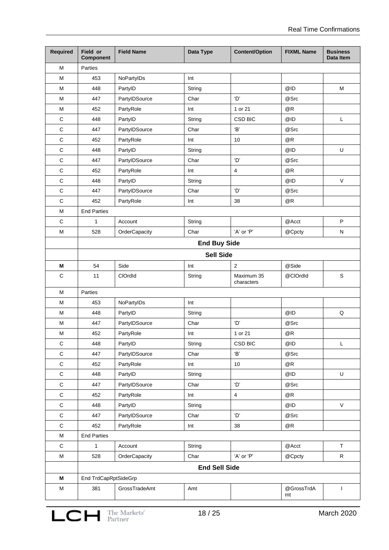| <b>Required</b> | Field or<br><b>Component</b> | <b>Field Name</b> | Data Type            | <b>Content/Option</b>    | <b>FIXML Name</b> | <b>Business</b><br><b>Data Item</b> |
|-----------------|------------------------------|-------------------|----------------------|--------------------------|-------------------|-------------------------------------|
| M               | Parties                      |                   |                      |                          |                   |                                     |
| M               | 453                          | NoPartyIDs        | Int                  |                          |                   |                                     |
| м               | 448                          | PartyID           | String               |                          | @ID               | M                                   |
| M               | 447                          | PartyIDSource     | Char                 | 'D'                      | @Src              |                                     |
| M               | 452                          | PartyRole         | Int                  | 1 or 21                  | @R                |                                     |
| $\mathsf C$     | 448                          | PartyID           | String               | <b>CSD BIC</b>           | @ID               | L                                   |
| $\mathsf C$     | 447                          | PartyIDSource     | Char                 | 'B'                      | @Src              |                                     |
| $\mathsf C$     | 452                          | PartyRole         | Int                  | 10                       | @R                |                                     |
| $\mathsf C$     | 448                          | PartyID           | String               |                          | @ID               | U                                   |
| $\mathsf C$     | 447                          | PartyIDSource     | Char                 | 'D'                      | @Src              |                                     |
| $\mathsf C$     | 452                          | PartyRole         | Int                  | $\overline{\mathbf{4}}$  | @R                |                                     |
| $\mathsf C$     | 448                          | PartyID           | String               |                          | @ID               | $\mathsf{V}$                        |
| $\mathsf C$     | 447                          | PartyIDSource     | Char                 | 'D'                      | @Src              |                                     |
| $\mathsf C$     | 452                          | PartyRole         | Int                  | 38                       | @R                |                                     |
| M               | <b>End Parties</b>           |                   |                      |                          |                   |                                     |
| $\mathsf C$     | 1                            | Account           | String               |                          | @Acct             | $\sf P$                             |
| M               | 528                          | OrderCapacity     | Char                 | 'A' or 'P'               | @Cpcty            | N                                   |
|                 | <b>End Buy Side</b>          |                   |                      |                          |                   |                                     |
|                 | <b>Sell Side</b>             |                   |                      |                          |                   |                                     |
| M               | 54                           | Side              | Int                  | $\overline{2}$           | @Side             |                                     |
| $\mathsf C$     | 11                           | ClOrdId           | String               | Maximum 35<br>characters | @ClOrdId          | $\mathsf S$                         |
| м               | Parties                      |                   |                      |                          |                   |                                     |
| м               | 453                          | NoPartyIDs        | Int                  |                          |                   |                                     |
| M               | 448                          | PartyID           | String               |                          | @ID               | $\mathsf Q$                         |
| M               | 447                          | PartyIDSource     | Char                 | 'D'                      | @Src              |                                     |
| M               | 452                          | PartyRole         | Int                  | 1 or 21                  | @R                |                                     |
| $\mathsf C$     | 448                          | PartyID           | String               | CSD BIC                  | @ID               | L                                   |
| $\mathsf C$     | 447                          | PartyIDSource     | Char                 | 'B'                      | @Src              |                                     |
| $\mathsf C$     | 452                          | PartyRole         | Int                  | 10                       | $@R$              |                                     |
| $\mathsf C$     | 448                          | PartyID           | String               |                          | @ID               | $\sf U$                             |
| $\mathsf C$     | 447                          | PartyIDSource     | Char                 | 'D'                      | @Src              |                                     |
| $\mathsf C$     | 452                          | PartyRole         | Int                  | $\overline{\mathbf{4}}$  | @R                |                                     |
| $\mathsf C$     | 448                          | PartyID           | String               |                          | @ID               | $\mathsf{V}$                        |
| $\mathsf C$     | 447                          | PartyIDSource     | Char                 | 'D'                      | @Src              |                                     |
| $\mathsf C$     | 452                          | PartyRole         | Int                  | 38                       | @R                |                                     |
| ${\sf M}$       | <b>End Parties</b>           |                   |                      |                          |                   |                                     |
| $\mathsf C$     | $\mathbf{1}$                 | Account           | String               |                          | @Acct             | $\sf T$                             |
| M               | 528                          | OrderCapacity     | Char                 | 'A' or 'P'               | @Cpcty            | $\mathsf R$                         |
|                 |                              |                   | <b>End Sell Side</b> |                          |                   |                                     |
| M               | End TrdCapRptSideGrp         |                   |                      |                          |                   |                                     |
| $\sf M$         | 381                          | GrossTradeAmt     | Amt                  |                          | @GrossTrdA<br>mt  | T                                   |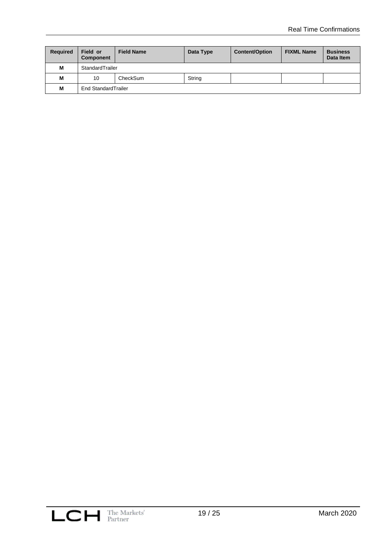| <b>Required</b> | Field or<br>Component | <b>Field Name</b>   | Data Type | <b>Content/Option</b> | <b>FIXML Name</b> | <b>Business</b><br>Data Item |  |
|-----------------|-----------------------|---------------------|-----------|-----------------------|-------------------|------------------------------|--|
| м               | StandardTrailer       |                     |           |                       |                   |                              |  |
| M               | 10                    | String<br>CheckSum  |           |                       |                   |                              |  |
| м               |                       | End StandardTrailer |           |                       |                   |                              |  |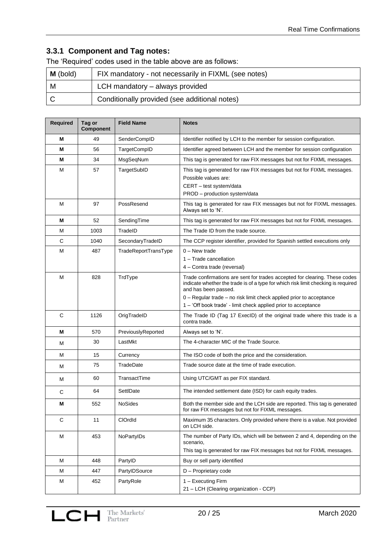## **3.3.1 Component and Tag notes:**

The 'Required' codes used in the table above are as follows:

| $\mid$ <b>M</b> (bold) | FIX mandatory - not necessarily in FIXML (see notes) |  |  |
|------------------------|------------------------------------------------------|--|--|
| M                      | LCH mandatory - always provided                      |  |  |
|                        | Conditionally provided (see additional notes)        |  |  |

| <b>Required</b> | Tag or<br>Component | <b>Field Name</b>    | <b>Notes</b>                                                                                                                                                                                                                                                                                                                     |  |
|-----------------|---------------------|----------------------|----------------------------------------------------------------------------------------------------------------------------------------------------------------------------------------------------------------------------------------------------------------------------------------------------------------------------------|--|
| М               | 49                  | SenderCompID         | Identifier notified by LCH to the member for session configuration.                                                                                                                                                                                                                                                              |  |
| М               | 56                  | TargetCompID         | Identifier agreed between LCH and the member for session configuration                                                                                                                                                                                                                                                           |  |
| М               | 34                  | MsgSeqNum            | This tag is generated for raw FIX messages but not for FIXML messages.                                                                                                                                                                                                                                                           |  |
| Μ               | 57                  | TargetSubID          | This tag is generated for raw FIX messages but not for FIXML messages.<br>Possible values are:<br>CERT - test system/data<br>PROD - production system/data                                                                                                                                                                       |  |
| М               | 97                  | PossResend           | This tag is generated for raw FIX messages but not for FIXML messages.<br>Always set to 'N'.                                                                                                                                                                                                                                     |  |
| М               | 52                  | SendingTime          | This tag is generated for raw FIX messages but not for FIXML messages.                                                                                                                                                                                                                                                           |  |
| М               | 1003                | TradeID              | The Trade ID from the trade source.                                                                                                                                                                                                                                                                                              |  |
| С               | 1040                | SecondaryTradeID     | The CCP register identifier, provided for Spanish settled executions only                                                                                                                                                                                                                                                        |  |
| М               | 487                 | TradeReportTransType | $0 -$ New trade<br>1 - Trade cancellation<br>4 - Contra trade (reversal)                                                                                                                                                                                                                                                         |  |
| M               | 828                 | TrdType              | Trade confirmations are sent for trades accepted for clearing. These codes<br>indicate whether the trade is of a type for which risk limit checking is required<br>and has been passed.<br>0 - Regular trade - no risk limit check applied prior to acceptance<br>1 - 'Off book trade' - limit check applied prior to acceptance |  |
| C               | 1126                | OrigTradeID          | The Trade ID (Tag 17 ExecID) of the original trade where this trade is a<br>contra trade.                                                                                                                                                                                                                                        |  |
| Μ               | 570                 | PreviouslyReported   | Always set to 'N'.                                                                                                                                                                                                                                                                                                               |  |
| Μ               | 30                  | LastMkt              | The 4-character MIC of the Trade Source.                                                                                                                                                                                                                                                                                         |  |
| М               | 15                  | Currency             | The ISO code of both the price and the consideration.                                                                                                                                                                                                                                                                            |  |
| M               | 75                  | TradeDate            | Trade source date at the time of trade execution.                                                                                                                                                                                                                                                                                |  |
| М               | 60                  | TransactTime         | Using UTC/GMT as per FIX standard.                                                                                                                                                                                                                                                                                               |  |
| C               | 64                  | SettlDate            | The intended settlement date (ISD) for cash equity trades.                                                                                                                                                                                                                                                                       |  |
| Μ               | 552                 | <b>NoSides</b>       | Both the member side and the LCH side are reported. This tag is generated<br>for raw FIX messages but not for FIXML messages.                                                                                                                                                                                                    |  |
| С               | 11                  | ClOrdid              | Maximum 35 characters. Only provided where there is a value. Not provided<br>on LCH side.                                                                                                                                                                                                                                        |  |
| Μ               | 453                 | NoPartyIDs           | The number of Party IDs, which will be between 2 and 4, depending on the<br>scenario,<br>This tag is generated for raw FIX messages but not for FIXML messages.                                                                                                                                                                  |  |
| м               | 448                 | PartyID              | Buy or sell party identified                                                                                                                                                                                                                                                                                                     |  |
| M               | 447                 | PartylDSource        | D - Proprietary code                                                                                                                                                                                                                                                                                                             |  |
| M               | 452                 | PartyRole            | 1 - Executing Firm<br>21 - LCH (Clearing organization - CCP)                                                                                                                                                                                                                                                                     |  |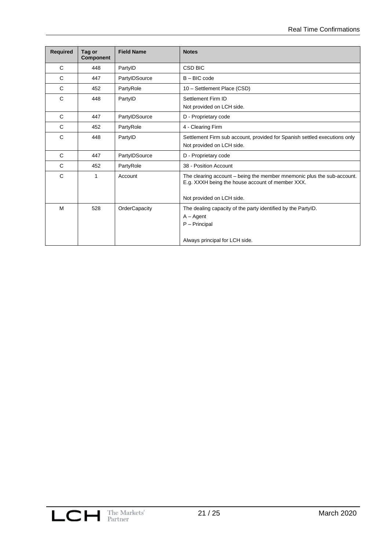| <b>Required</b> | Tag or<br><b>Component</b> | <b>Field Name</b> | <b>Notes</b>                                                                                                                                            |  |
|-----------------|----------------------------|-------------------|---------------------------------------------------------------------------------------------------------------------------------------------------------|--|
| C               | 448                        | PartyID           | <b>CSD BIC</b>                                                                                                                                          |  |
| C               | 447                        | PartylDSource     | $B - BIC$ code                                                                                                                                          |  |
| C               | 452                        | PartyRole         | 10 - Settlement Place (CSD)                                                                                                                             |  |
| C               | 448                        | PartyID           | Settlement Firm ID<br>Not provided on LCH side.                                                                                                         |  |
| C               | 447                        | PartylDSource     | D - Proprietary code                                                                                                                                    |  |
| C               | 452                        | PartyRole         | 4 - Clearing Firm                                                                                                                                       |  |
| C               | 448                        | PartyID           | Settlement Firm sub account, provided for Spanish settled executions only<br>Not provided on LCH side.                                                  |  |
| C               | 447                        | PartylDSource     | D - Proprietary code                                                                                                                                    |  |
| C               | 452                        | PartyRole         | 38 - Position Account                                                                                                                                   |  |
| $\mathbf C$     | 1                          | Account           | The clearing account – being the member mnemonic plus the sub-account.<br>E.g. XXXH being the house account of member XXX.<br>Not provided on LCH side. |  |
| M               | 528                        | OrderCapacity     | The dealing capacity of the party identified by the PartyID.<br>$A - Agent$<br>$P - Principal$<br>Always principal for LCH side.                        |  |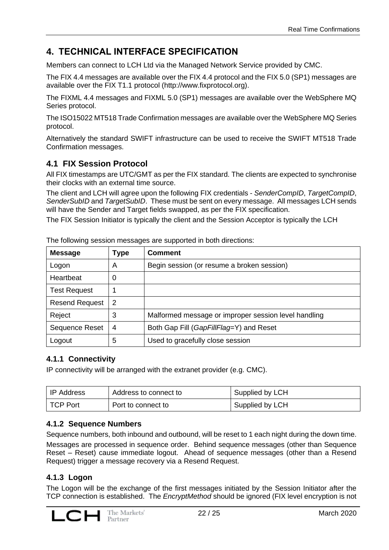# **4. TECHNICAL INTERFACE SPECIFICATION**

Members can connect to LCH Ltd via the Managed Network Service provided by CMC.

The FIX 4.4 messages are available over the FIX 4.4 protocol and the FIX 5.0 (SP1) messages are available over the FIX T1.1 protocol [\(http://www.fixprotocol.org\)](http://www.fixprotocol.org/).

The FIXML 4.4 messages and FIXML 5.0 (SP1) messages are available over the WebSphere MQ Series protocol.

The ISO15022 MT518 Trade Confirmation messages are available over the WebSphere MQ Series protocol.

Alternatively the standard SWIFT infrastructure can be used to receive the SWIFT MT518 Trade Confirmation messages.

## **4.1 FIX Session Protocol**

All FIX timestamps are UTC/GMT as per the FIX standard. The clients are expected to synchronise their clocks with an external time source.

The client and LCH will agree upon the following FIX credentials - *SenderCompID*, *TargetCompID*, *SenderSubID* and *TargetSubID*. These must be sent on every message. All messages LCH sends will have the Sender and Target fields swapped, as per the FIX specification.

The FIX Session Initiator is typically the client and the Session Acceptor is typically the LCH

| <b>Message</b>        | Type | <b>Comment</b>                                       |  |
|-----------------------|------|------------------------------------------------------|--|
| Logon                 | A    | Begin session (or resume a broken session)           |  |
| Heartbeat             | 0    |                                                      |  |
| <b>Test Request</b>   |      |                                                      |  |
| <b>Resend Request</b> | 2    |                                                      |  |
| Reject                | 3    | Malformed message or improper session level handling |  |
| Sequence Reset        | 4    | Both Gap Fill (GapFillFlag=Y) and Reset              |  |
| Logout                | 5    | Used to gracefully close session                     |  |

The following session messages are supported in both directions:

## **4.1.1 Connectivity**

IP connectivity will be arranged with the extranet provider (e.g. CMC).

| IP Address | Address to connect to | Supplied by LCH |
|------------|-----------------------|-----------------|
| I TCP Port | Port to connect to    | Supplied by LCH |

#### **4.1.2 Sequence Numbers**

Sequence numbers, both inbound and outbound, will be reset to 1 each night during the down time. Messages are processed in sequence order. Behind sequence messages (other than Sequence Reset – Reset) cause immediate logout. Ahead of sequence messages (other than a Resend Request) trigger a message recovery via a Resend Request.

#### **4.1.3 Logon**

The Logon will be the exchange of the first messages initiated by the Session Initiator after the TCP connection is established. The *EncryptMethod* should be ignored (FIX level encryption is not

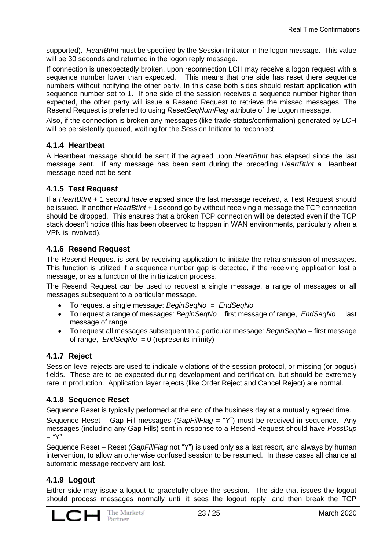supported). *HeartBtInt* must be specified by the Session Initiator in the logon message. This value will be 30 seconds and returned in the logon reply message.

If connection is unexpectedly broken, upon reconnection LCH may receive a logon request with a sequence number lower than expected. This means that one side has reset there sequence numbers without notifying the other party. In this case both sides should restart application with sequence number set to 1. If one side of the session receives a sequence number higher than expected, the other party will issue a Resend Request to retrieve the missed messages. The Resend Request is preferred to using *ResetSeqNumFlag* attribute of the Logon message.

Also, if the connection is broken any messages (like trade status/confirmation) generated by LCH will be persistently queued, waiting for the Session Initiator to reconnect.

#### **4.1.4 Heartbeat**

A Heartbeat message should be sent if the agreed upon *HeartBtInt* has elapsed since the last message sent. If any message has been sent during the preceding *HeartBtInt* a Heartbeat message need not be sent.

#### **4.1.5 Test Request**

If a *HeartBtInt* + 1 second have elapsed since the last message received, a Test Request should be issued. If another *HeartBtInt* + 1 second go by without receiving a message the TCP connection should be dropped. This ensures that a broken TCP connection will be detected even if the TCP stack doesn't notice (this has been observed to happen in WAN environments, particularly when a VPN is involved).

#### **4.1.6 Resend Request**

The Resend Request is sent by receiving application to initiate the retransmission of messages. This function is utilized if a sequence number gap is detected, if the receiving application lost a message, or as a function of the initialization process.

The Resend Request can be used to request a single message, a range of messages or all messages subsequent to a particular message.

- To request a single message: *BeginSeqNo* = *[EndSeqNo](http://btobits.com/fixopaedia/fixdic44/tag_16_EndSeqNo.html)*
- To request a range of messages: *BeginSeqNo* = first message of range, *[EndSeqNo](http://btobits.com/fixopaedia/fixdic44/tag_16_EndSeqNo.html)* = last message of range
- To request all messages subsequent to a particular message: *BeginSeqNo* = first message of range, *[EndSeqNo](http://btobits.com/fixopaedia/fixdic44/tag_16_EndSeqNo.html)* = 0 (represents infinity)

#### **4.1.7 Reject**

Session level rejects are used to indicate violations of the session protocol, or missing (or bogus) fields. These are to be expected during development and certification, but should be extremely rare in production. Application layer rejects (like Order Reject and Cancel Reject) are normal.

#### **4.1.8 Sequence Reset**

Sequence Reset is typically performed at the end of the business day at a mutually agreed time.

Sequence Reset – Gap Fill messages (*GapFillFlag* = "Y") must be received in sequence. Any messages (including any Gap Fills) sent in response to a Resend Request should have *PossDup*  $=$  "Y".

Sequence Reset – Reset (*GapFillFlag* not "Y") is used only as a last resort, and always by human intervention, to allow an otherwise confused session to be resumed. In these cases all chance at automatic message recovery are lost.

#### **4.1.9 Logout**

Either side may issue a logout to gracefully close the session. The side that issues the logout should process messages normally until it sees the logout reply, and then break the TCP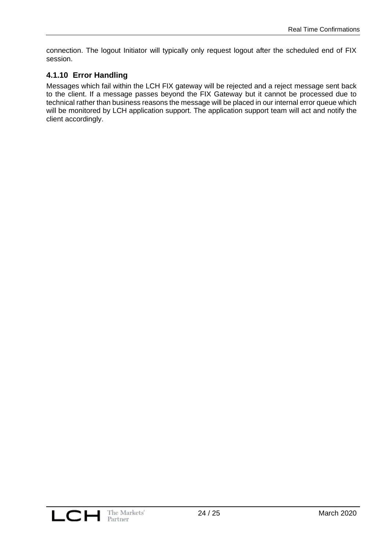connection. The logout Initiator will typically only request logout after the scheduled end of FIX session.

## **4.1.10 Error Handling**

Messages which fail within the LCH FIX gateway will be rejected and a reject message sent back to the client. If a message passes beyond the FIX Gateway but it cannot be processed due to technical rather than business reasons the message will be placed in our internal error queue which will be monitored by LCH application support. The application support team will act and notify the client accordingly.